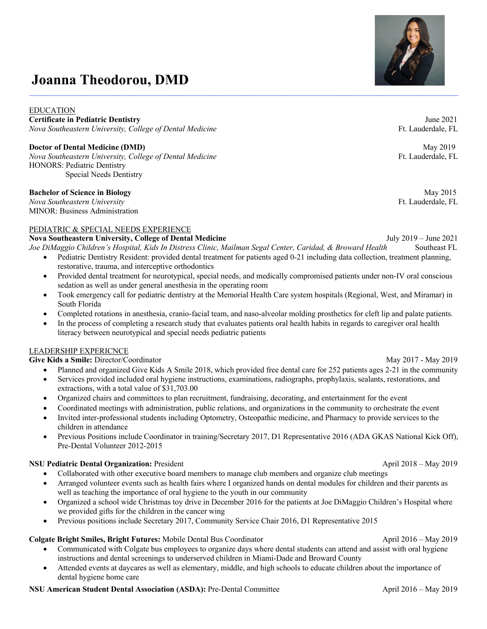# **Joanna Theodorou, DMD**

EDUCATION **Certificate in Pediatric Dentistry** June 2021 *Nova Southeastern University, College of Dental Medicine* **Figure 2008 Ft. Lauderdale, FL** 

**Doctor of Dental Medicine (DMD)** May 2019 *Nova Southeastern University, College of Dental Medicine* **Figure 2008** Ft. Lauderdale, FL HONORS: Pediatric Dentistry Special Needs Dentistry

#### **Bachelor of Science in Biology** May 2015

*Nova Southeastern University* Ft. Lauderdale, FL MINOR: Business Administration

#### PEDIATRIC & SPECIAL NEEDS EXPERIENCE

**Nova Southeastern University, College of Dental Medicine** July 2019 – June 2021

- *Joe DiMaggio Children's Hospital, Kids In Distress Clinic, Mailman Segal Center, Caridad, & Broward Health* Southeast FL • Pediatric Dentistry Resident: provided dental treatment for patients aged 0-21 including data collection, treatment planning,
	- restorative, trauma, and interceptive orthodontics
	- Provided dental treatment for neurotypical, special needs, and medically compromised patients under non-IV oral conscious sedation as well as under general anesthesia in the operating room
	- Took emergency call for pediatric dentistry at the Memorial Health Care system hospitals (Regional, West, and Miramar) in South Florida
	- Completed rotations in anesthesia, cranio-facial team, and naso-alveolar molding prosthetics for cleft lip and palate patients.
	- In the process of completing a research study that evaluates patients oral health habits in regards to caregiver oral health literacy between neurotypical and special needs pediatric patients

# LEADERSHIP EXPERICNCE

**Give Kids a Smile:** Director/CoordinatorMay 2017 - May 2019

- Planned and organized Give Kids A Smile 2018, which provided free dental care for 252 patients ages 2-21 in the community
- Services provided included oral hygiene instructions, examinations, radiographs, prophylaxis, sealants, restorations, and extractions, with a total value of \$31,703.00
- Organized chairs and committees to plan recruitment, fundraising, decorating, and entertainment for the event
- Coordinated meetings with administration, public relations, and organizations in the community to orchestrate the event
- Invited inter-professional students including Optometry, Osteopathic medicine, and Pharmacy to provide services to the children in attendance
- Previous Positions include Coordinator in training/Secretary 2017, D1 Representative 2016 (ADA GKAS National Kick Off), Pre-Dental Volunteer 2012-2015

#### **NSU Pediatric Dental Organization:** PresidentApril 2018 – May 2019

- Collaborated with other executive board members to manage club members and organize club meetings
- Arranged volunteer events such as health fairs where I organized hands on dental modules for children and their parents as well as teaching the importance of oral hygiene to the youth in our community
- Organized a school wide Christmas toy drive in December 2016 for the patients at Joe DiMaggio Children's Hospital where we provided gifts for the children in the cancer wing
- Previous positions include Secretary 2017, Community Service Chair 2016, D1 Representative 2015

# **Colgate Bright Smiles, Bright Futures:** Mobile Dental Bus CoordinatorApril 2016 – May 2019

- Communicated with Colgate bus employees to organize days where dental students can attend and assist with oral hygiene instructions and dental screenings to underserved children in Miami-Dade and Broward County
- Attended events at daycares as well as elementary, middle, and high schools to educate children about the importance of dental hygiene home care

# **NSU American Student Dental Association (ASDA):** Pre-Dental Committee **April 2016** – May 2019

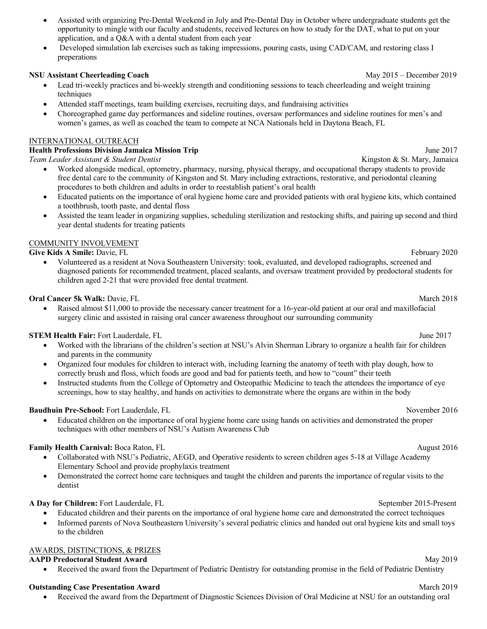- Assisted with organizing Pre-Dental Weekend in July and Pre-Dental Day in October where undergraduate students get the opportunity to mingle with our faculty and students, received lectures on how to study for the DAT, what to put on your application, and a Q&A with a dental student from each year
- Developed simulation lab exercises such as taking impressions, pouring casts, using CAD/CAM, and restoring class I preperations

### **NSU Assistant Cheerleading Coach** *May 2015 – December 2019*

- Lead tri-weekly practices and bi-weekly strength and conditioning sessions to teach cheerleading and weight training techniques
- Attended staff meetings, team building exercises, recruiting days, and fundraising activities
- Choreographed game day performances and sideline routines, oversaw performances and sideline routines for men's and women's games, as well as coached the team to compete at NCA Nationals held in Daytona Beach, FL

#### INTERNATIONAL OUTREACH

# **Health Professions Division Jamaica Mission Trip** June 2017

*Team Leader Assistant & Student Dentist* Kingston & St. Mary, Jamaica

- Worked alongside medical, optometry, pharmacy, nursing, physical therapy, and occupational therapy students to provide free dental care to the community of Kingston and St. Mary including extractions, restorative, and periodontal cleaning procedures to both children and adults in order to reestablish patient's oral health
- Educated patients on the importance of oral hygiene home care and provided patients with oral hygiene kits, which contained a toothbrush, tooth paste, and dental floss
- Assisted the team leader in organizing supplies, scheduling sterilization and restocking shifts, and pairing up second and third year dental students for treating patients

#### COMMUNITY INVOLVEMENT

**Give Kids A Smile:** Davie, FL **February 2020** 

• Volunteered as a resident at Nova Southeastern University: took, evaluated, and developed radiographs, screened and diagnosed patients for recommended treatment, placed sealants, and oversaw treatment provided by predoctoral students for children aged 2-21 that were provided free dental treatment.

#### **Oral Cancer 5k Walk:** Davie, FL March 2018

• Raised almost \$11,000 to provide the necessary cancer treatment for a 16-year-old patient at our oral and maxillofacial surgery clinic and assisted in raising oral cancer awareness throughout our surrounding community

# **STEM Health Fair:** Fort Lauderdale, FL 3000 and 100 and 100 and 100 and 100 and 100 and 100 and 100 and 100 and 100 and 100 and 100 and 100 and 100 and 100 and 100 and 100 and 100 and 100 and 100 and 100 and 100 and 100 a

- Worked with the librarians of the children's section at NSU's Alvin Sherman Library to organize a health fair for children and parents in the community
- Organized four modules for children to interact with, including learning the anatomy of teeth with play dough, how to correctly brush and floss, which foods are good and bad for patients teeth, and how to "count" their teeth
- Instructed students from the College of Optometry and Osteopathic Medicine to teach the attendees the importance of eye screenings, how to stay healthy, and hands on activities to demonstrate where the organs are within in the body

# **Baudhuin Pre-School:** Fort Lauderdale, FL November 2016

• Educated children on the importance of oral hygiene home care using hands on activities and demonstrated the proper techniques with other members of NSU's Autism Awareness Club

# **Family Health Carnival:** Boca Raton, FL August 2016

- Collaborated with NSU's Pediatric, AEGD, and Operative residents to screen children ages 5-18 at Village Academy Elementary School and provide prophylaxis treatment
- Demonstrated the correct home care techniques and taught the children and parents the importance of regular visits to the dentist

# **A Day for Children:** Fort Lauderdale, FL September 2015-Present

- Educated children and their parents on the importance of oral hygiene home care and demonstrated the correct techniques
- Informed parents of Nova Southeastern University's several pediatric clinics and handed out oral hygiene kits and small toys to the children

#### AWARDS, DISTINCTIONS, & PRIZES

# **AAPD Predoctoral Student Award** *May 2019*

• Received the award from the Department of Pediatric Dentistry for outstanding promise in the field of Pediatric Dentistry

# **Outstanding Case Presentation Award** *March 2019 March 2019*

• Received the award from the Department of Diagnostic Sciences Division of Oral Medicine at NSU for an outstanding oral